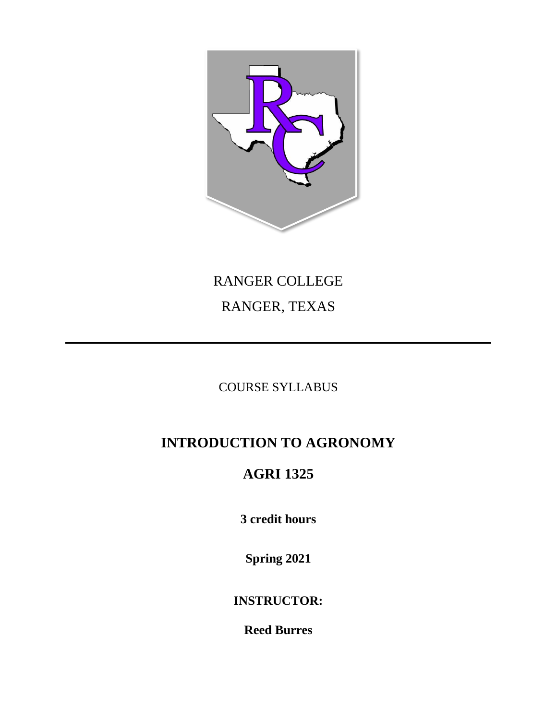

# RANGER COLLEGE RANGER, TEXAS

### COURSE SYLLABUS

# **INTRODUCTION TO AGRONOMY**

## **AGRI 1325**

**3 credit hours**

**Spring 2021**

**INSTRUCTOR:**

**Reed Burres**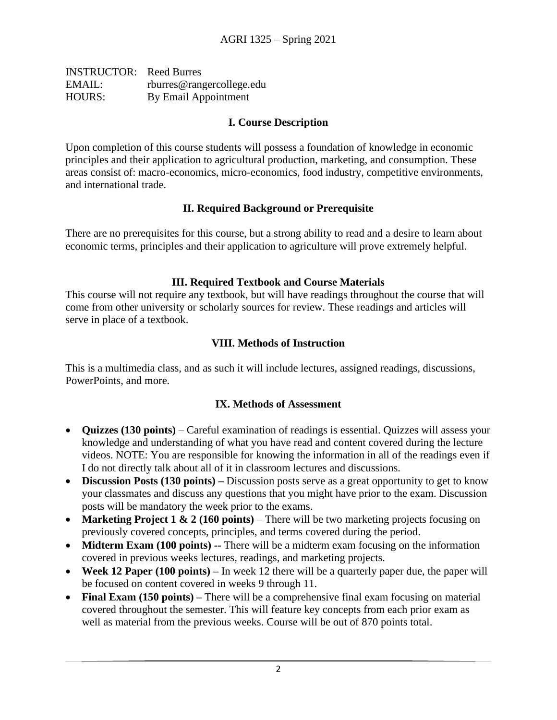| <b>INSTRUCTOR:</b> Reed Burres |                           |
|--------------------------------|---------------------------|
| EMAIL:                         | rburres@rangercollege.edu |
| <b>HOURS:</b>                  | By Email Appointment      |

#### **I. Course Description**

Upon completion of this course students will possess a foundation of knowledge in economic principles and their application to agricultural production, marketing, and consumption. These areas consist of: macro-economics, micro-economics, food industry, competitive environments, and international trade.

#### **II. Required Background or Prerequisite**

There are no prerequisites for this course, but a strong ability to read and a desire to learn about economic terms, principles and their application to agriculture will prove extremely helpful.

#### **III. Required Textbook and Course Materials**

This course will not require any textbook, but will have readings throughout the course that will come from other university or scholarly sources for review. These readings and articles will serve in place of a textbook.

#### **VIII. Methods of Instruction**

This is a multimedia class, and as such it will include lectures, assigned readings, discussions, PowerPoints, and more.

#### **IX. Methods of Assessment**

- **Quizzes (130 points)** Careful examination of readings is essential. Quizzes will assess your knowledge and understanding of what you have read and content covered during the lecture videos. NOTE: You are responsible for knowing the information in all of the readings even if I do not directly talk about all of it in classroom lectures and discussions.
- **Discussion Posts (130 points)** Discussion posts serve as a great opportunity to get to know your classmates and discuss any questions that you might have prior to the exam. Discussion posts will be mandatory the week prior to the exams.
- **Marketing Project 1 & 2 (160 points)** There will be two marketing projects focusing on previously covered concepts, principles, and terms covered during the period.
- **Midterm Exam (100 points) --** There will be a midterm exam focusing on the information covered in previous weeks lectures, readings, and marketing projects.
- **Week 12 Paper (100 points)** In week 12 there will be a quarterly paper due, the paper will be focused on content covered in weeks 9 through 11.
- **Final Exam (150 points)** There will be a comprehensive final exam focusing on material covered throughout the semester. This will feature key concepts from each prior exam as well as material from the previous weeks. Course will be out of 870 points total.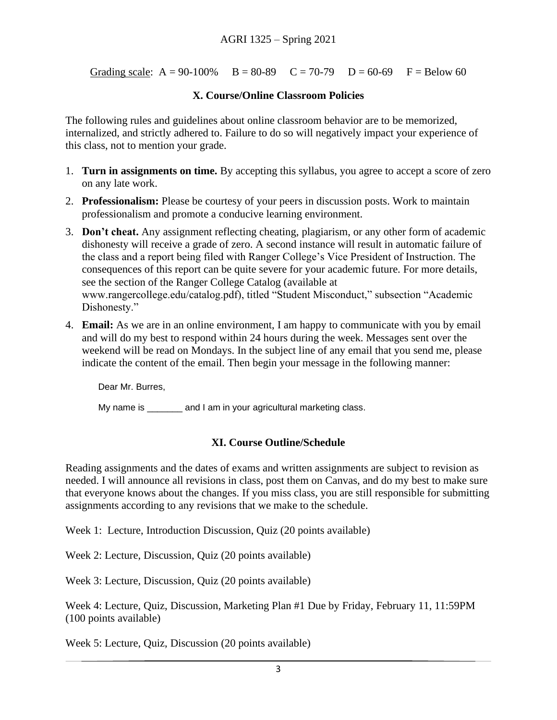Grading scale:  $A = 90-100\%$   $B = 80-89$   $C = 70-79$   $D = 60-69$   $F =$  Below 60

#### **X. Course/Online Classroom Policies**

The following rules and guidelines about online classroom behavior are to be memorized, internalized, and strictly adhered to. Failure to do so will negatively impact your experience of this class, not to mention your grade.

- 1. **Turn in assignments on time.** By accepting this syllabus, you agree to accept a score of zero on any late work.
- 2. **Professionalism:** Please be courtesy of your peers in discussion posts. Work to maintain professionalism and promote a conducive learning environment.
- 3. **Don't cheat.** Any assignment reflecting cheating, plagiarism, or any other form of academic dishonesty will receive a grade of zero. A second instance will result in automatic failure of the class and a report being filed with Ranger College's Vice President of Instruction. The consequences of this report can be quite severe for your academic future. For more details, see the section of the Ranger College Catalog (available at www.rangercollege.edu/catalog.pdf), titled "Student Misconduct," subsection "Academic Dishonesty."
- 4. **Email:** As we are in an online environment, I am happy to communicate with you by email and will do my best to respond within 24 hours during the week. Messages sent over the weekend will be read on Mondays. In the subject line of any email that you send me, please indicate the content of the email. Then begin your message in the following manner:

Dear Mr. Burres,

My name is equal and I am in your agricultural marketing class.

#### **XI. Course Outline/Schedule**

Reading assignments and the dates of exams and written assignments are subject to revision as needed. I will announce all revisions in class, post them on Canvas, and do my best to make sure that everyone knows about the changes. If you miss class, you are still responsible for submitting assignments according to any revisions that we make to the schedule.

Week 1: Lecture, Introduction Discussion, Quiz (20 points available)

Week 2: Lecture, Discussion, Quiz (20 points available)

Week 3: Lecture, Discussion, Quiz (20 points available)

Week 4: Lecture, Quiz, Discussion, Marketing Plan #1 Due by Friday, February 11, 11:59PM (100 points available)

Week 5: Lecture, Quiz, Discussion (20 points available)